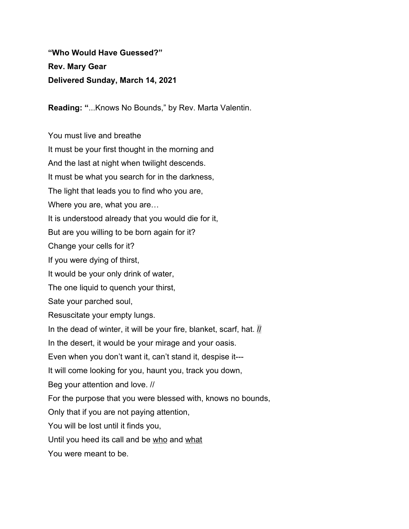**"Who Would Have Guessed?" Rev. Mary Gear Delivered Sunday, March 14, 2021**

**Reading: "**...Knows No Bounds," by Rev. Marta Valentin.

You must live and breathe

It must be your first thought in the morning and And the last at night when twilight descends. It must be what you search for in the darkness, The light that leads you to find who you are, Where you are, what you are… It is understood already that you would die for it, But are you willing to be born again for it? Change your cells for it? If you were dying of thirst, It would be your only drink of water, The one liquid to quench your thirst, Sate your parched soul, Resuscitate your empty lungs. In the dead of winter, it will be your fire, blanket, scarf, hat. If In the desert, it would be your mirage and your oasis. Even when you don't want it, can't stand it, despise it--- It will come looking for you, haunt you, track you down, Beg your attention and love. // For the purpose that you were blessed with, knows no bounds, Only that if you are not paying attention, You will be lost until it finds you, Until you heed its call and be who and what You were meant to be.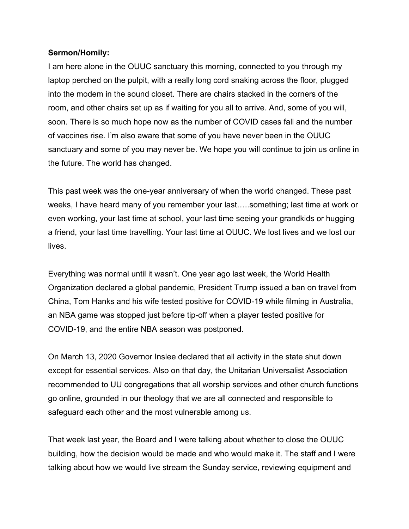## **Sermon/Homily:**

I am here alone in the OUUC sanctuary this morning, connected to you through my laptop perched on the pulpit, with a really long cord snaking across the floor, plugged into the modem in the sound closet. There are chairs stacked in the corners of the room, and other chairs set up as if waiting for you all to arrive. And, some of you will, soon. There is so much hope now as the number of COVID cases fall and the number of vaccines rise. I'm also aware that some of you have never been in the OUUC sanctuary and some of you may never be. We hope you will continue to join us online in the future. The world has changed.

This past week was the one-year anniversary of when the world changed. These past weeks, I have heard many of you remember your last…..something; last time at work or even working, your last time at school, your last time seeing your grandkids or hugging a friend, your last time travelling. Your last time at OUUC. We lost lives and we lost our lives.

Everything was normal until it wasn't. One year ago last week, the World Health Organization declared a global pandemic, President Trump issued a ban on travel from China, Tom Hanks and his wife tested positive for COVID-19 while filming in Australia, an NBA game was stopped just before tip-off when a player tested positive for COVID-19, and the entire NBA season was postponed.

On March 13, 2020 Governor Inslee declared that all activity in the state shut down except for essential services. Also on that day, the Unitarian Universalist Association recommended to UU congregations that all worship services and other church functions go online, grounded in our theology that we are all connected and responsible to safeguard each other and the most vulnerable among us.

That week last year, the Board and I were talking about whether to close the OUUC building, how the decision would be made and who would make it. The staff and I were talking about how we would live stream the Sunday service, reviewing equipment and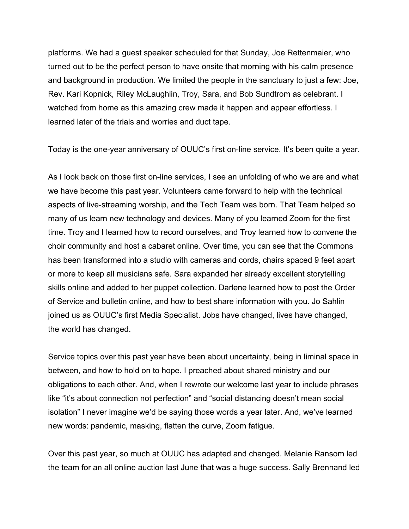platforms. We had a guest speaker scheduled for that Sunday, Joe Rettenmaier, who turned out to be the perfect person to have onsite that morning with his calm presence and background in production. We limited the people in the sanctuary to just a few: Joe, Rev. Kari Kopnick, Riley McLaughlin, Troy, Sara, and Bob Sundtrom as celebrant. I watched from home as this amazing crew made it happen and appear effortless. I learned later of the trials and worries and duct tape.

Today is the one-year anniversary of OUUC's first on-line service. It's been quite a year.

As I look back on those first on-line services, I see an unfolding of who we are and what we have become this past year. Volunteers came forward to help with the technical aspects of live-streaming worship, and the Tech Team was born. That Team helped so many of us learn new technology and devices. Many of you learned Zoom for the first time. Troy and I learned how to record ourselves, and Troy learned how to convene the choir community and host a cabaret online. Over time, you can see that the Commons has been transformed into a studio with cameras and cords, chairs spaced 9 feet apart or more to keep all musicians safe. Sara expanded her already excellent storytelling skills online and added to her puppet collection. Darlene learned how to post the Order of Service and bulletin online, and how to best share information with you. Jo Sahlin joined us as OUUC's first Media Specialist. Jobs have changed, lives have changed, the world has changed.

Service topics over this past year have been about uncertainty, being in liminal space in between, and how to hold on to hope. I preached about shared ministry and our obligations to each other. And, when I rewrote our welcome last year to include phrases like "it's about connection not perfection" and "social distancing doesn't mean social isolation" I never imagine we'd be saying those words a year later. And, we've learned new words: pandemic, masking, flatten the curve, Zoom fatigue.

Over this past year, so much at OUUC has adapted and changed. Melanie Ransom led the team for an all online auction last June that was a huge success. Sally Brennand led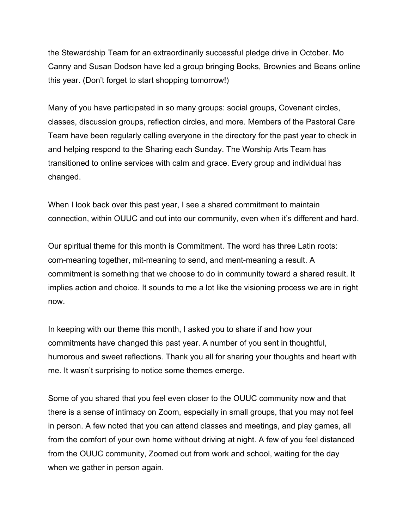the Stewardship Team for an extraordinarily successful pledge drive in October. Mo Canny and Susan Dodson have led a group bringing Books, Brownies and Beans online this year. (Don't forget to start shopping tomorrow!)

Many of you have participated in so many groups: social groups, Covenant circles, classes, discussion groups, reflection circles, and more. Members of the Pastoral Care Team have been regularly calling everyone in the directory for the past year to check in and helping respond to the Sharing each Sunday. The Worship Arts Team has transitioned to online services with calm and grace. Every group and individual has changed.

When I look back over this past year, I see a shared commitment to maintain connection, within OUUC and out into our community, even when it's different and hard.

Our spiritual theme for this month is Commitment. The word has three Latin roots: com-meaning together, mit-meaning to send, and ment-meaning a result. A commitment is something that we choose to do in community toward a shared result. It implies action and choice. It sounds to me a lot like the visioning process we are in right now.

In keeping with our theme this month, I asked you to share if and how your commitments have changed this past year. A number of you sent in thoughtful, humorous and sweet reflections. Thank you all for sharing your thoughts and heart with me. It wasn't surprising to notice some themes emerge.

Some of you shared that you feel even closer to the OUUC community now and that there is a sense of intimacy on Zoom, especially in small groups, that you may not feel in person. A few noted that you can attend classes and meetings, and play games, all from the comfort of your own home without driving at night. A few of you feel distanced from the OUUC community, Zoomed out from work and school, waiting for the day when we gather in person again.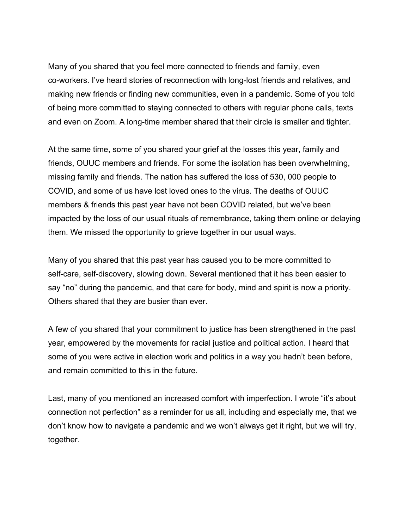Many of you shared that you feel more connected to friends and family, even co-workers. I've heard stories of reconnection with long-lost friends and relatives, and making new friends or finding new communities, even in a pandemic. Some of you told of being more committed to staying connected to others with regular phone calls, texts and even on Zoom. A long-time member shared that their circle is smaller and tighter.

At the same time, some of you shared your grief at the losses this year, family and friends, OUUC members and friends. For some the isolation has been overwhelming, missing family and friends. The nation has suffered the loss of 530, 000 people to COVID, and some of us have lost loved ones to the virus. The deaths of OUUC members & friends this past year have not been COVID related, but we've been impacted by the loss of our usual rituals of remembrance, taking them online or delaying them. We missed the opportunity to grieve together in our usual ways.

Many of you shared that this past year has caused you to be more committed to self-care, self-discovery, slowing down. Several mentioned that it has been easier to say "no" during the pandemic, and that care for body, mind and spirit is now a priority. Others shared that they are busier than ever.

A few of you shared that your commitment to justice has been strengthened in the past year, empowered by the movements for racial justice and political action. I heard that some of you were active in election work and politics in a way you hadn't been before, and remain committed to this in the future.

Last, many of you mentioned an increased comfort with imperfection. I wrote "it's about connection not perfection" as a reminder for us all, including and especially me, that we don't know how to navigate a pandemic and we won't always get it right, but we will try, together.